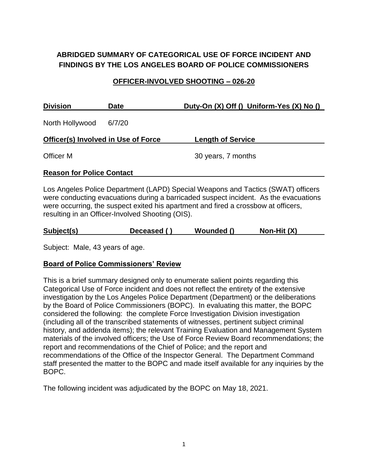# **ABRIDGED SUMMARY OF CATEGORICAL USE OF FORCE INCIDENT AND FINDINGS BY THE LOS ANGELES BOARD OF POLICE COMMISSIONERS**

### **OFFICER-INVOLVED SHOOTING – 026-20**

| <b>Division</b>                            | Date   | Duty-On (X) Off () Uniform-Yes (X) No () |
|--------------------------------------------|--------|------------------------------------------|
| North Hollywood                            | 6/7/20 |                                          |
| <b>Officer(s) Involved in Use of Force</b> |        | <b>Length of Service</b>                 |
| <b>Officer M</b>                           |        | 30 years, 7 months                       |
| <b>Reason for Police Contact</b>           |        |                                          |

Los Angeles Police Department (LAPD) Special Weapons and Tactics (SWAT) officers were conducting evacuations during a barricaded suspect incident. As the evacuations were occurring, the suspect exited his apartment and fired a crossbow at officers, resulting in an Officer-Involved Shooting (OIS).

| Non-Hit $(X)$<br>Subject(s)<br>Wounded ()<br>Deceased () |
|----------------------------------------------------------|
|----------------------------------------------------------|

Subject: Male, 43 years of age.

# **Board of Police Commissioners' Review**

This is a brief summary designed only to enumerate salient points regarding this Categorical Use of Force incident and does not reflect the entirety of the extensive investigation by the Los Angeles Police Department (Department) or the deliberations by the Board of Police Commissioners (BOPC). In evaluating this matter, the BOPC considered the following: the complete Force Investigation Division investigation (including all of the transcribed statements of witnesses, pertinent subject criminal history, and addenda items); the relevant Training Evaluation and Management System materials of the involved officers; the Use of Force Review Board recommendations; the report and recommendations of the Chief of Police; and the report and recommendations of the Office of the Inspector General. The Department Command staff presented the matter to the BOPC and made itself available for any inquiries by the BOPC.

The following incident was adjudicated by the BOPC on May 18, 2021.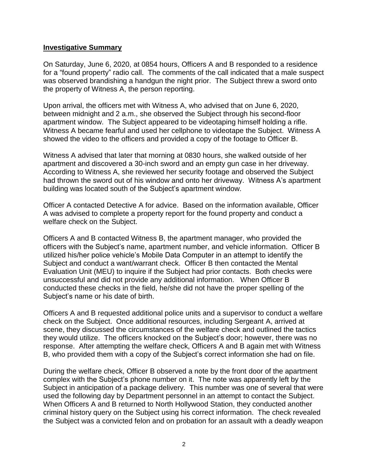#### **Investigative Summary**

On Saturday, June 6, 2020, at 0854 hours, Officers A and B responded to a residence for a "found property" radio call. The comments of the call indicated that a male suspect was observed brandishing a handgun the night prior. The Subject threw a sword onto the property of Witness A, the person reporting.

Upon arrival, the officers met with Witness A, who advised that on June 6, 2020, between midnight and 2 a.m., she observed the Subject through his second-floor apartment window. The Subject appeared to be videotaping himself holding a rifle. Witness A became fearful and used her cellphone to videotape the Subject. Witness A showed the video to the officers and provided a copy of the footage to Officer B.

Witness A advised that later that morning at 0830 hours, she walked outside of her apartment and discovered a 30-inch sword and an empty gun case in her driveway. According to Witness A, she reviewed her security footage and observed the Subject had thrown the sword out of his window and onto her driveway. Witness A's apartment building was located south of the Subject's apartment window.

Officer A contacted Detective A for advice. Based on the information available, Officer A was advised to complete a property report for the found property and conduct a welfare check on the Subject.

Officers A and B contacted Witness B, the apartment manager, who provided the officers with the Subject's name, apartment number, and vehicle information. Officer B utilized his/her police vehicle's Mobile Data Computer in an attempt to identify the Subject and conduct a want/warrant check. Officer B then contacted the Mental Evaluation Unit (MEU) to inquire if the Subject had prior contacts. Both checks were unsuccessful and did not provide any additional information. When Officer B conducted these checks in the field, he/she did not have the proper spelling of the Subject's name or his date of birth.

Officers A and B requested additional police units and a supervisor to conduct a welfare check on the Subject. Once additional resources, including Sergeant A, arrived at scene, they discussed the circumstances of the welfare check and outlined the tactics they would utilize. The officers knocked on the Subject's door; however, there was no response. After attempting the welfare check, Officers A and B again met with Witness B, who provided them with a copy of the Subject's correct information she had on file.

During the welfare check, Officer B observed a note by the front door of the apartment complex with the Subject's phone number on it. The note was apparently left by the Subject in anticipation of a package delivery. This number was one of several that were used the following day by Department personnel in an attempt to contact the Subject. When Officers A and B returned to North Hollywood Station, they conducted another criminal history query on the Subject using his correct information. The check revealed the Subject was a convicted felon and on probation for an assault with a deadly weapon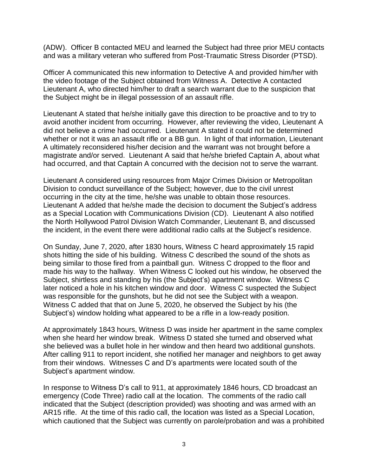(ADW). Officer B contacted MEU and learned the Subject had three prior MEU contacts and was a military veteran who suffered from Post-Traumatic Stress Disorder (PTSD).

Officer A communicated this new information to Detective A and provided him/her with the video footage of the Subject obtained from Witness A. Detective A contacted Lieutenant A, who directed him/her to draft a search warrant due to the suspicion that the Subject might be in illegal possession of an assault rifle.

Lieutenant A stated that he/she initially gave this direction to be proactive and to try to avoid another incident from occurring. However, after reviewing the video, Lieutenant A did not believe a crime had occurred. Lieutenant A stated it could not be determined whether or not it was an assault rifle or a BB gun. In light of that information, Lieutenant A ultimately reconsidered his/her decision and the warrant was not brought before a magistrate and/or served. Lieutenant A said that he/she briefed Captain A, about what had occurred, and that Captain A concurred with the decision not to serve the warrant.

Lieutenant A considered using resources from Major Crimes Division or Metropolitan Division to conduct surveillance of the Subject; however, due to the civil unrest occurring in the city at the time, he/she was unable to obtain those resources. Lieutenant A added that he/she made the decision to document the Subject's address as a Special Location with Communications Division (CD). Lieutenant A also notified the North Hollywood Patrol Division Watch Commander, Lieutenant B, and discussed the incident, in the event there were additional radio calls at the Subject's residence.

On Sunday, June 7, 2020, after 1830 hours, Witness C heard approximately 15 rapid shots hitting the side of his building. Witness C described the sound of the shots as being similar to those fired from a paintball gun. Witness C dropped to the floor and made his way to the hallway. When Witness C looked out his window, he observed the Subject, shirtless and standing by his (the Subject's) apartment window. Witness C later noticed a hole in his kitchen window and door. Witness C suspected the Subject was responsible for the gunshots, but he did not see the Subject with a weapon. Witness C added that that on June 5, 2020, he observed the Subject by his (the Subject's) window holding what appeared to be a rifle in a low-ready position.

At approximately 1843 hours, Witness D was inside her apartment in the same complex when she heard her window break. Witness D stated she turned and observed what she believed was a bullet hole in her window and then heard two additional gunshots. After calling 911 to report incident, she notified her manager and neighbors to get away from their windows. Witnesses C and D's apartments were located south of the Subject's apartment window.

In response to Witness D's call to 911, at approximately 1846 hours, CD broadcast an emergency (Code Three) radio call at the location. The comments of the radio call indicated that the Subject (description provided) was shooting and was armed with an AR15 rifle. At the time of this radio call, the location was listed as a Special Location, which cautioned that the Subject was currently on parole/probation and was a prohibited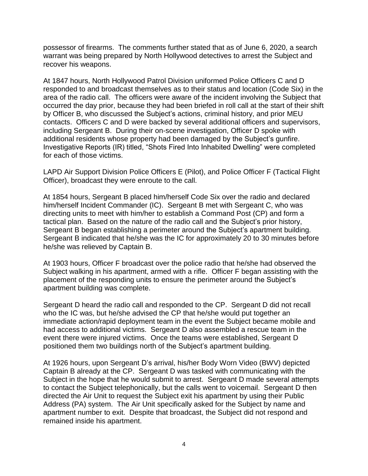possessor of firearms. The comments further stated that as of June 6, 2020, a search warrant was being prepared by North Hollywood detectives to arrest the Subject and recover his weapons.

At 1847 hours, North Hollywood Patrol Division uniformed Police Officers C and D responded to and broadcast themselves as to their status and location (Code Six) in the area of the radio call. The officers were aware of the incident involving the Subject that occurred the day prior, because they had been briefed in roll call at the start of their shift by Officer B, who discussed the Subject's actions, criminal history, and prior MEU contacts. Officers C and D were backed by several additional officers and supervisors, including Sergeant B. During their on-scene investigation, Officer D spoke with additional residents whose property had been damaged by the Subject's gunfire. Investigative Reports (IR) titled, "Shots Fired Into Inhabited Dwelling" were completed for each of those victims.

LAPD Air Support Division Police Officers E (Pilot), and Police Officer F (Tactical Flight Officer), broadcast they were enroute to the call.

At 1854 hours, Sergeant B placed him/herself Code Six over the radio and declared him/herself Incident Commander (IC). Sergeant B met with Sergeant C, who was directing units to meet with him/her to establish a Command Post (CP) and form a tactical plan. Based on the nature of the radio call and the Subject's prior history, Sergeant B began establishing a perimeter around the Subject's apartment building. Sergeant B indicated that he/she was the IC for approximately 20 to 30 minutes before he/she was relieved by Captain B.

At 1903 hours, Officer F broadcast over the police radio that he/she had observed the Subject walking in his apartment, armed with a rifle. Officer F began assisting with the placement of the responding units to ensure the perimeter around the Subject's apartment building was complete.

Sergeant D heard the radio call and responded to the CP. Sergeant D did not recall who the IC was, but he/she advised the CP that he/she would put together an immediate action/rapid deployment team in the event the Subject became mobile and had access to additional victims. Sergeant D also assembled a rescue team in the event there were injured victims. Once the teams were established, Sergeant D positioned them two buildings north of the Subject's apartment building.

At 1926 hours, upon Sergeant D's arrival, his/her Body Worn Video (BWV) depicted Captain B already at the CP. Sergeant D was tasked with communicating with the Subject in the hope that he would submit to arrest. Sergeant D made several attempts to contact the Subject telephonically, but the calls went to voicemail. Sergeant D then directed the Air Unit to request the Subject exit his apartment by using their Public Address (PA) system. The Air Unit specifically asked for the Subject by name and apartment number to exit. Despite that broadcast, the Subject did not respond and remained inside his apartment.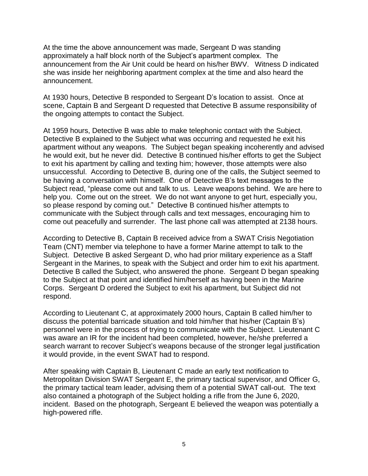At the time the above announcement was made, Sergeant D was standing approximately a half block north of the Subject's apartment complex. The announcement from the Air Unit could be heard on his/her BWV. Witness D indicated she was inside her neighboring apartment complex at the time and also heard the announcement.

At 1930 hours, Detective B responded to Sergeant D's location to assist. Once at scene, Captain B and Sergeant D requested that Detective B assume responsibility of the ongoing attempts to contact the Subject.

At 1959 hours, Detective B was able to make telephonic contact with the Subject. Detective B explained to the Subject what was occurring and requested he exit his apartment without any weapons. The Subject began speaking incoherently and advised he would exit, but he never did. Detective B continued his/her efforts to get the Subject to exit his apartment by calling and texting him; however, those attempts were also unsuccessful. According to Detective B, during one of the calls, the Subject seemed to be having a conversation with himself. One of Detective B's text messages to the Subject read, "please come out and talk to us. Leave weapons behind. We are here to help you. Come out on the street. We do not want anyone to get hurt, especially you, so please respond by coming out." Detective B continued his/her attempts to communicate with the Subject through calls and text messages, encouraging him to come out peacefully and surrender. The last phone call was attempted at 2138 hours.

According to Detective B, Captain B received advice from a SWAT Crisis Negotiation Team (CNT) member via telephone to have a former Marine attempt to talk to the Subject. Detective B asked Sergeant D, who had prior military experience as a Staff Sergeant in the Marines, to speak with the Subject and order him to exit his apartment. Detective B called the Subject, who answered the phone. Sergeant D began speaking to the Subject at that point and identified him/herself as having been in the Marine Corps. Sergeant D ordered the Subject to exit his apartment, but Subject did not respond.

According to Lieutenant C, at approximately 2000 hours, Captain B called him/her to discuss the potential barricade situation and told him/her that his/her (Captain B's) personnel were in the process of trying to communicate with the Subject. Lieutenant C was aware an IR for the incident had been completed, however, he/she preferred a search warrant to recover Subject's weapons because of the stronger legal justification it would provide, in the event SWAT had to respond.

After speaking with Captain B, Lieutenant C made an early text notification to Metropolitan Division SWAT Sergeant E, the primary tactical supervisor, and Officer G, the primary tactical team leader, advising them of a potential SWAT call-out. The text also contained a photograph of the Subject holding a rifle from the June 6, 2020, incident. Based on the photograph, Sergeant E believed the weapon was potentially a high-powered rifle.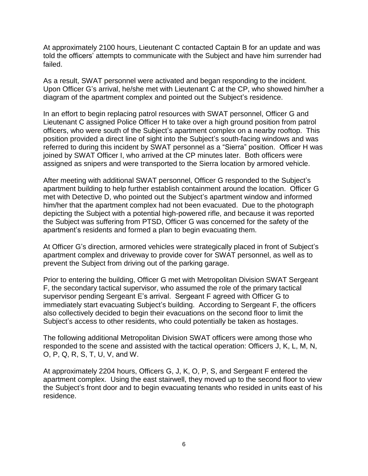At approximately 2100 hours, Lieutenant C contacted Captain B for an update and was told the officers' attempts to communicate with the Subject and have him surrender had failed.

As a result, SWAT personnel were activated and began responding to the incident. Upon Officer G's arrival, he/she met with Lieutenant C at the CP, who showed him/her a diagram of the apartment complex and pointed out the Subject's residence.

In an effort to begin replacing patrol resources with SWAT personnel, Officer G and Lieutenant C assigned Police Officer H to take over a high ground position from patrol officers, who were south of the Subject's apartment complex on a nearby rooftop. This position provided a direct line of sight into the Subject's south-facing windows and was referred to during this incident by SWAT personnel as a "Sierra" position. Officer H was joined by SWAT Officer I, who arrived at the CP minutes later. Both officers were assigned as snipers and were transported to the Sierra location by armored vehicle.

After meeting with additional SWAT personnel, Officer G responded to the Subject's apartment building to help further establish containment around the location. Officer G met with Detective D, who pointed out the Subject's apartment window and informed him/her that the apartment complex had not been evacuated. Due to the photograph depicting the Subject with a potential high-powered rifle, and because it was reported the Subject was suffering from PTSD, Officer G was concerned for the safety of the apartment's residents and formed a plan to begin evacuating them.

At Officer G's direction, armored vehicles were strategically placed in front of Subject's apartment complex and driveway to provide cover for SWAT personnel, as well as to prevent the Subject from driving out of the parking garage.

Prior to entering the building, Officer G met with Metropolitan Division SWAT Sergeant F, the secondary tactical supervisor, who assumed the role of the primary tactical supervisor pending Sergeant E's arrival. Sergeant F agreed with Officer G to immediately start evacuating Subject's building. According to Sergeant F, the officers also collectively decided to begin their evacuations on the second floor to limit the Subject's access to other residents, who could potentially be taken as hostages.

The following additional Metropolitan Division SWAT officers were among those who responded to the scene and assisted with the tactical operation: Officers J, K, L, M, N, O, P, Q, R, S, T, U, V, and W.

At approximately 2204 hours, Officers G, J, K, O, P, S, and Sergeant F entered the apartment complex. Using the east stairwell, they moved up to the second floor to view the Subject's front door and to begin evacuating tenants who resided in units east of his residence.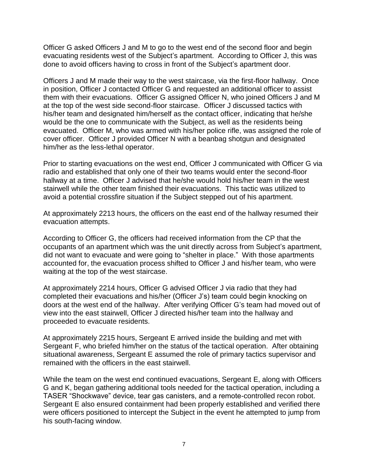Officer G asked Officers J and M to go to the west end of the second floor and begin evacuating residents west of the Subject's apartment. According to Officer J, this was done to avoid officers having to cross in front of the Subject's apartment door.

Officers J and M made their way to the west staircase, via the first-floor hallway. Once in position, Officer J contacted Officer G and requested an additional officer to assist them with their evacuations. Officer G assigned Officer N, who joined Officers J and M at the top of the west side second-floor staircase. Officer J discussed tactics with his/her team and designated him/herself as the contact officer, indicating that he/she would be the one to communicate with the Subject, as well as the residents being evacuated. Officer M, who was armed with his/her police rifle, was assigned the role of cover officer. Officer J provided Officer N with a beanbag shotgun and designated him/her as the less-lethal operator.

Prior to starting evacuations on the west end, Officer J communicated with Officer G via radio and established that only one of their two teams would enter the second-floor hallway at a time. Officer J advised that he/she would hold his/her team in the west stairwell while the other team finished their evacuations. This tactic was utilized to avoid a potential crossfire situation if the Subject stepped out of his apartment.

At approximately 2213 hours, the officers on the east end of the hallway resumed their evacuation attempts.

According to Officer G, the officers had received information from the CP that the occupants of an apartment which was the unit directly across from Subject's apartment, did not want to evacuate and were going to "shelter in place." With those apartments accounted for, the evacuation process shifted to Officer J and his/her team, who were waiting at the top of the west staircase.

At approximately 2214 hours, Officer G advised Officer J via radio that they had completed their evacuations and his/her (Officer J's) team could begin knocking on doors at the west end of the hallway. After verifying Officer G's team had moved out of view into the east stairwell, Officer J directed his/her team into the hallway and proceeded to evacuate residents.

At approximately 2215 hours, Sergeant E arrived inside the building and met with Sergeant F, who briefed him/her on the status of the tactical operation. After obtaining situational awareness, Sergeant E assumed the role of primary tactics supervisor and remained with the officers in the east stairwell.

While the team on the west end continued evacuations, Sergeant E, along with Officers G and K, began gathering additional tools needed for the tactical operation, including a TASER "Shockwave" device, tear gas canisters, and a remote-controlled recon robot. Sergeant E also ensured containment had been properly established and verified there were officers positioned to intercept the Subject in the event he attempted to jump from his south-facing window.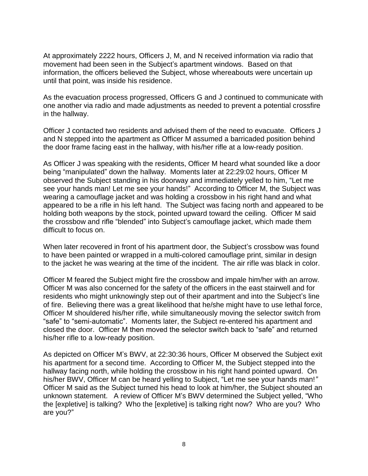At approximately 2222 hours, Officers J, M, and N received information via radio that movement had been seen in the Subject's apartment windows. Based on that information, the officers believed the Subject, whose whereabouts were uncertain up until that point, was inside his residence.

As the evacuation process progressed, Officers G and J continued to communicate with one another via radio and made adjustments as needed to prevent a potential crossfire in the hallway.

Officer J contacted two residents and advised them of the need to evacuate. Officers J and N stepped into the apartment as Officer M assumed a barricaded position behind the door frame facing east in the hallway, with his/her rifle at a low-ready position.

As Officer J was speaking with the residents, Officer M heard what sounded like a door being "manipulated" down the hallway. Moments later at 22:29:02 hours, Officer M observed the Subject standing in his doorway and immediately yelled to him, "Let me see your hands man! Let me see your hands!"According to Officer M, the Subject was wearing a camouflage jacket and was holding a crossbow in his right hand and what appeared to be a rifle in his left hand. The Subject was facing north and appeared to be holding both weapons by the stock, pointed upward toward the ceiling. Officer M said the crossbow and rifle "blended" into Subject's camouflage jacket, which made them difficult to focus on.

When later recovered in front of his apartment door, the Subject's crossbow was found to have been painted or wrapped in a multi-colored camouflage print, similar in design to the jacket he was wearing at the time of the incident. The air rifle was black in color.

Officer M feared the Subject might fire the crossbow and impale him/her with an arrow. Officer M was also concerned for the safety of the officers in the east stairwell and for residents who might unknowingly step out of their apartment and into the Subject's line of fire. Believing there was a great likelihood that he/she might have to use lethal force, Officer M shouldered his/her rifle, while simultaneously moving the selector switch from "safe" to "semi-automatic". Moments later, the Subject re-entered his apartment and closed the door. Officer M then moved the selector switch back to "safe" and returned his/her rifle to a low-ready position.

As depicted on Officer M's BWV, at 22:30:36 hours, Officer M observed the Subject exit his apartment for a second time. According to Officer M, the Subject stepped into the hallway facing north, while holding the crossbow in his right hand pointed upward. On his/her BWV, Officer M can be heard yelling to Subject, "Let me see your hands man!*"* Officer M said as the Subject turned his head to look at him/her, the Subject shouted an unknown statement. A review of Officer M's BWV determined the Subject yelled, "Who the [expletive] is talking? Who the [expletive] is talking right now? Who are you? Who are you?"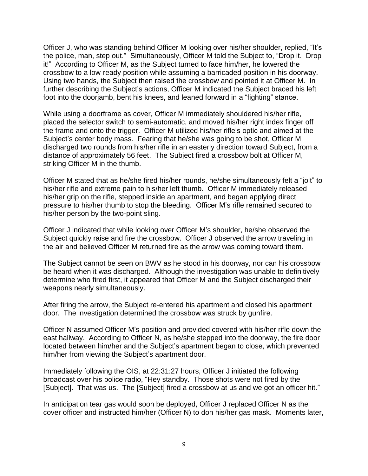Officer J, who was standing behind Officer M looking over his/her shoulder, replied, "It's the police, man, step out." Simultaneously, Officer M told the Subject to, "Drop it. Drop it!"According to Officer M, as the Subject turned to face him/her, he lowered the crossbow to a low-ready position while assuming a barricaded position in his doorway. Using two hands, the Subject then raised the crossbow and pointed it at Officer M. In further describing the Subject's actions, Officer M indicated the Subject braced his left foot into the doorjamb, bent his knees, and leaned forward in a "fighting" stance.

While using a doorframe as cover, Officer M immediately shouldered his/her rifle, placed the selector switch to semi-automatic, and moved his/her right index finger off the frame and onto the trigger. Officer M utilized his/her rifle's optic and aimed at the Subject's center body mass. Fearing that he/she was going to be shot, Officer M discharged two rounds from his/her rifle in an easterly direction toward Subject, from a distance of approximately 56 feet. The Subject fired a crossbow bolt at Officer M, striking Officer M in the thumb.

Officer M stated that as he/she fired his/her rounds, he/she simultaneously felt a "jolt" to his/her rifle and extreme pain to his/her left thumb. Officer M immediately released his/her grip on the rifle, stepped inside an apartment, and began applying direct pressure to his/her thumb to stop the bleeding. Officer M's rifle remained secured to his/her person by the two-point sling.

Officer J indicated that while looking over Officer M's shoulder, he/she observed the Subject quickly raise and fire the crossbow. Officer J observed the arrow traveling in the air and believed Officer M returned fire as the arrow was coming toward them.

The Subject cannot be seen on BWV as he stood in his doorway, nor can his crossbow be heard when it was discharged. Although the investigation was unable to definitively determine who fired first, it appeared that Officer M and the Subject discharged their weapons nearly simultaneously.

After firing the arrow, the Subject re-entered his apartment and closed his apartment door. The investigation determined the crossbow was struck by gunfire.

Officer N assumed Officer M's position and provided covered with his/her rifle down the east hallway. According to Officer N, as he/she stepped into the doorway, the fire door located between him/her and the Subject's apartment began to close, which prevented him/her from viewing the Subject's apartment door.

Immediately following the OIS, at 22:31:27 hours, Officer J initiated the following broadcast over his police radio, "Hey standby. Those shots were not fired by the [Subject]. That was us. The [Subject] fired a crossbow at us and we got an officer hit."

In anticipation tear gas would soon be deployed, Officer J replaced Officer N as the cover officer and instructed him/her (Officer N) to don his/her gas mask. Moments later,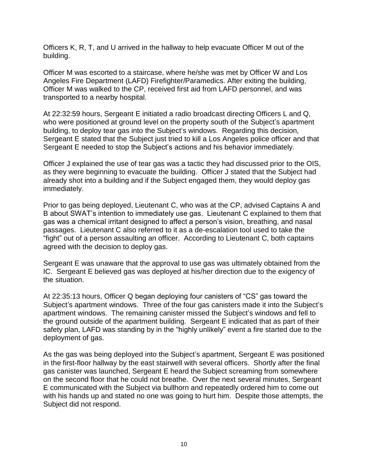Officers K, R, T, and U arrived in the hallway to help evacuate Officer M out of the building.

Officer M was escorted to a staircase, where he/she was met by Officer W and Los Angeles Fire Department (LAFD) Firefighter/Paramedics. After exiting the building, Officer M was walked to the CP, received first aid from LAFD personnel, and was transported to a nearby hospital.

At 22:32:59 hours, Sergeant E initiated a radio broadcast directing Officers L and Q, who were positioned at ground level on the property south of the Subject's apartment building, to deploy tear gas into the Subject's windows. Regarding this decision, Sergeant E stated that the Subject just tried to kill a Los Angeles police officer and that Sergeant E needed to stop the Subject's actions and his behavior immediately.

Officer J explained the use of tear gas was a tactic they had discussed prior to the OIS, as they were beginning to evacuate the building. Officer J stated that the Subject had already shot into a building and if the Subject engaged them, they would deploy gas immediately.

Prior to gas being deployed, Lieutenant C, who was at the CP, advised Captains A and B about SWAT's intention to immediately use gas. Lieutenant C explained to them that gas was a chemical irritant designed to affect a person's vision, breathing, and nasal passages. Lieutenant C also referred to it as a de-escalation tool used to take the "fight" out of a person assaulting an officer. According to Lieutenant C, both captains agreed with the decision to deploy gas.

Sergeant E was unaware that the approval to use gas was ultimately obtained from the IC. Sergeant E believed gas was deployed at his/her direction due to the exigency of the situation.

At 22:35:13 hours, Officer Q began deploying four canisters of "CS" gas toward the Subject's apartment windows. Three of the four gas canisters made it into the Subject's apartment windows. The remaining canister missed the Subject's windows and fell to the ground outside of the apartment building. Sergeant E indicated that as part of their safety plan, LAFD was standing by in the "highly unlikely" event a fire started due to the deployment of gas.

As the gas was being deployed into the Subject's apartment, Sergeant E was positioned in the first-floor hallway by the east stairwell with several officers. Shortly after the final gas canister was launched, Sergeant E heard the Subject screaming from somewhere on the second floor that he could not breathe. Over the next several minutes, Sergeant E communicated with the Subject via bullhorn and repeatedly ordered him to come out with his hands up and stated no one was going to hurt him. Despite those attempts, the Subject did not respond.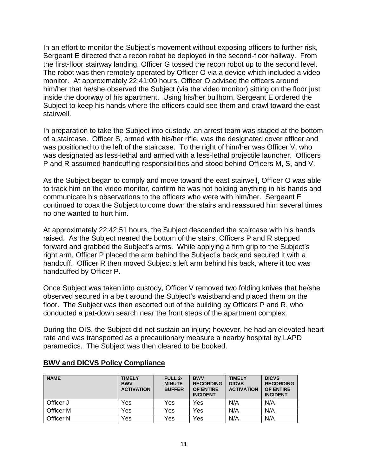In an effort to monitor the Subject's movement without exposing officers to further risk, Sergeant E directed that a recon robot be deployed in the second-floor hallway. From the first-floor stairway landing, Officer G tossed the recon robot up to the second level. The robot was then remotely operated by Officer O via a device which included a video monitor. At approximately 22:41:09 hours, Officer O advised the officers around him/her that he/she observed the Subject (via the video monitor) sitting on the floor just inside the doorway of his apartment. Using his/her bullhorn, Sergeant E ordered the Subject to keep his hands where the officers could see them and crawl toward the east stairwell.

In preparation to take the Subject into custody, an arrest team was staged at the bottom of a staircase. Officer S, armed with his/her rifle, was the designated cover officer and was positioned to the left of the staircase. To the right of him/her was Officer V, who was designated as less-lethal and armed with a less-lethal projectile launcher. Officers P and R assumed handcuffing responsibilities and stood behind Officers M, S, and V.

As the Subject began to comply and move toward the east stairwell, Officer O was able to track him on the video monitor, confirm he was not holding anything in his hands and communicate his observations to the officers who were with him/her. Sergeant E continued to coax the Subject to come down the stairs and reassured him several times no one wanted to hurt him.

At approximately 22:42:51 hours, the Subject descended the staircase with his hands raised. As the Subject neared the bottom of the stairs, Officers P and R stepped forward and grabbed the Subject's arms. While applying a firm grip to the Subject's right arm, Officer P placed the arm behind the Subject's back and secured it with a handcuff. Officer R then moved Subject's left arm behind his back, where it too was handcuffed by Officer P.

Once Subject was taken into custody, Officer V removed two folding knives that he/she observed secured in a belt around the Subject's waistband and placed them on the floor. The Subject was then escorted out of the building by Officers P and R, who conducted a pat-down search near the front steps of the apartment complex.

During the OIS, the Subject did not sustain an injury; however, he had an elevated heart rate and was transported as a precautionary measure a nearby hospital by LAPD paramedics. The Subject was then cleared to be booked.

| <b>NAME</b> | <b>TIMELY</b><br><b>BWV</b><br><b>ACTIVATION</b> | FULL 2-<br><b>MINUTE</b><br><b>BUFFER</b> | <b>BWV</b><br><b>RECORDING</b><br><b>OF ENTIRE</b><br><b>INCIDENT</b> | <b>TIMELY</b><br><b>DICVS</b><br><b>ACTIVATION</b> | <b>DICVS</b><br><b>RECORDING</b><br><b>OF ENTIRE</b><br><b>INCIDENT</b> |
|-------------|--------------------------------------------------|-------------------------------------------|-----------------------------------------------------------------------|----------------------------------------------------|-------------------------------------------------------------------------|
| Officer J   | Yes                                              | Yes                                       | Yes                                                                   | N/A                                                | N/A                                                                     |
| Officer M   | Yes                                              | Yes                                       | Yes                                                                   | N/A                                                | N/A                                                                     |
| Officer N   | Yes                                              | Yes                                       | Yes                                                                   | N/A                                                | N/A                                                                     |

# **BWV and DICVS Policy Compliance**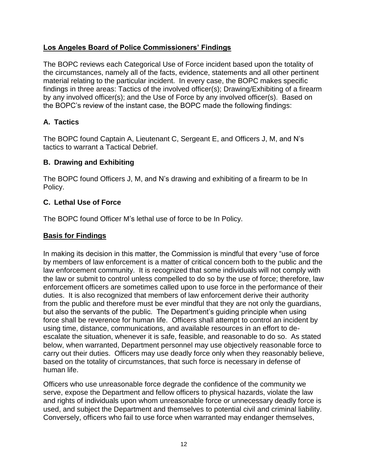# **Los Angeles Board of Police Commissioners' Findings**

The BOPC reviews each Categorical Use of Force incident based upon the totality of the circumstances, namely all of the facts, evidence, statements and all other pertinent material relating to the particular incident. In every case, the BOPC makes specific findings in three areas: Tactics of the involved officer(s); Drawing/Exhibiting of a firearm by any involved officer(s); and the Use of Force by any involved officer(s). Based on the BOPC's review of the instant case, the BOPC made the following findings:

# **A. Tactics**

The BOPC found Captain A, Lieutenant C, Sergeant E, and Officers J, M, and N's tactics to warrant a Tactical Debrief.

# **B. Drawing and Exhibiting**

The BOPC found Officers J, M, and N's drawing and exhibiting of a firearm to be In Policy.

### **C. Lethal Use of Force**

The BOPC found Officer M's lethal use of force to be In Policy.

### **Basis for Findings**

In making its decision in this matter, the Commission is mindful that every "use of force by members of law enforcement is a matter of critical concern both to the public and the law enforcement community. It is recognized that some individuals will not comply with the law or submit to control unless compelled to do so by the use of force; therefore, law enforcement officers are sometimes called upon to use force in the performance of their duties. It is also recognized that members of law enforcement derive their authority from the public and therefore must be ever mindful that they are not only the guardians, but also the servants of the public. The Department's guiding principle when using force shall be reverence for human life. Officers shall attempt to control an incident by using time, distance, communications, and available resources in an effort to deescalate the situation, whenever it is safe, feasible, and reasonable to do so. As stated below, when warranted, Department personnel may use objectively reasonable force to carry out their duties. Officers may use deadly force only when they reasonably believe, based on the totality of circumstances, that such force is necessary in defense of human life.

Officers who use unreasonable force degrade the confidence of the community we serve, expose the Department and fellow officers to physical hazards, violate the law and rights of individuals upon whom unreasonable force or unnecessary deadly force is used, and subject the Department and themselves to potential civil and criminal liability. Conversely, officers who fail to use force when warranted may endanger themselves,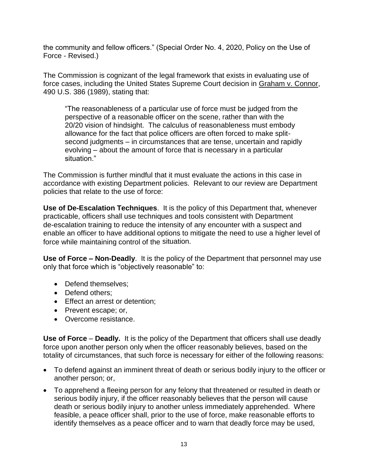the community and fellow officers." (Special Order No. 4, 2020, Policy on the Use of Force - Revised.)

The Commission is cognizant of the legal framework that exists in evaluating use of force cases, including the United States Supreme Court decision in Graham v. Connor, 490 U.S. 386 (1989), stating that:

"The reasonableness of a particular use of force must be judged from the perspective of a reasonable officer on the scene, rather than with the 20/20 vision of hindsight. The calculus of reasonableness must embody allowance for the fact that police officers are often forced to make splitsecond judgments – in circumstances that are tense, uncertain and rapidly evolving – about the amount of force that is necessary in a particular situation."

The Commission is further mindful that it must evaluate the actions in this case in accordance with existing Department policies. Relevant to our review are Department policies that relate to the use of force:

**Use of De-Escalation Techniques**. It is the policy of this Department that, whenever practicable, officers shall use techniques and tools consistent with Department de-escalation training to reduce the intensity of any encounter with a suspect and enable an officer to have additional options to mitigate the need to use a higher level of force while maintaining control of the situation.

**Use of Force – Non-Deadly**. It is the policy of the Department that personnel may use only that force which is "objectively reasonable" to:

- Defend themselves:
- Defend others:
- Effect an arrest or detention;
- Prevent escape; or,
- Overcome resistance.

**Use of Force** – **Deadly.** It is the policy of the Department that officers shall use deadly force upon another person only when the officer reasonably believes, based on the totality of circumstances, that such force is necessary for either of the following reasons:

- To defend against an imminent threat of death or serious bodily injury to the officer or another person; or,
- To apprehend a fleeing person for any felony that threatened or resulted in death or serious bodily injury, if the officer reasonably believes that the person will cause death or serious bodily injury to another unless immediately apprehended. Where feasible, a peace officer shall, prior to the use of force, make reasonable efforts to identify themselves as a peace officer and to warn that deadly force may be used,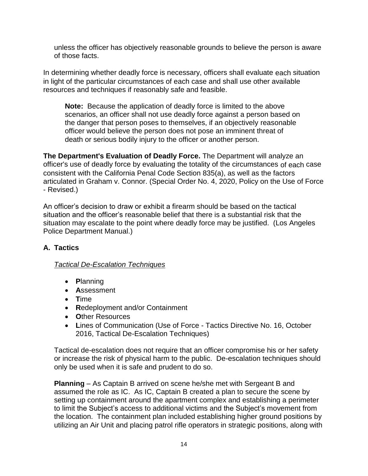unless the officer has objectively reasonable grounds to believe the person is aware of those facts.

In determining whether deadly force is necessary, officers shall evaluate each situation in light of the particular circumstances of each case and shall use other available resources and techniques if reasonably safe and feasible.

**Note:** Because the application of deadly force is limited to the above scenarios, an officer shall not use deadly force against a person based on the danger that person poses to themselves, if an objectively reasonable officer would believe the person does not pose an imminent threat of death or serious bodily injury to the officer or another person.

**The Department's Evaluation of Deadly Force.** The Department will analyze an officer's use of deadly force by evaluating the totality of the circumstances of each case consistent with the California Penal Code Section 835(a), as well as the factors articulated in Graham v. Connor. (Special Order No. 4, 2020, Policy on the Use of Force - Revised.)

An officer's decision to draw or exhibit a firearm should be based on the tactical situation and the officer's reasonable belief that there is a substantial risk that the situation may escalate to the point where deadly force may be justified. (Los Angeles Police Department Manual.)

# **A. Tactics**

# *Tactical De-Escalation Techniques*

- **P**lanning
- **A**ssessment
- **T**ime
- **R**edeployment and/or Containment
- **O**ther Resources
- **L**ines of Communication (Use of Force Tactics Directive No. 16, October 2016, Tactical De-Escalation Techniques)

Tactical de-escalation does not require that an officer compromise his or her safety or increase the risk of physical harm to the public. De-escalation techniques should only be used when it is safe and prudent to do so.

**Planning** – As Captain B arrived on scene he/she met with Sergeant B and assumed the role as IC. As IC, Captain B created a plan to secure the scene by setting up containment around the apartment complex and establishing a perimeter to limit the Subject's access to additional victims and the Subject's movement from the location. The containment plan included establishing higher ground positions by utilizing an Air Unit and placing patrol rifle operators in strategic positions, along with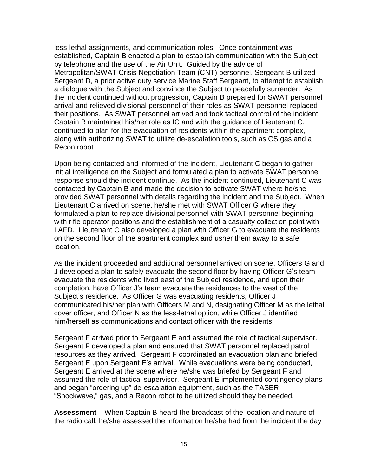less-lethal assignments, and communication roles. Once containment was established, Captain B enacted a plan to establish communication with the Subject by telephone and the use of the Air Unit. Guided by the advice of Metropolitan/SWAT Crisis Negotiation Team (CNT) personnel, Sergeant B utilized Sergeant D, a prior active duty service Marine Staff Sergeant, to attempt to establish a dialogue with the Subject and convince the Subject to peacefully surrender. As the incident continued without progression, Captain B prepared for SWAT personnel arrival and relieved divisional personnel of their roles as SWAT personnel replaced their positions. As SWAT personnel arrived and took tactical control of the incident, Captain B maintained his/her role as IC and with the guidance of Lieutenant C, continued to plan for the evacuation of residents within the apartment complex, along with authorizing SWAT to utilize de-escalation tools, such as CS gas and a Recon robot.

Upon being contacted and informed of the incident, Lieutenant C began to gather initial intelligence on the Subject and formulated a plan to activate SWAT personnel response should the incident continue. As the incident continued, Lieutenant C was contacted by Captain B and made the decision to activate SWAT where he/she provided SWAT personnel with details regarding the incident and the Subject. When Lieutenant C arrived on scene, he/she met with SWAT Officer G where they formulated a plan to replace divisional personnel with SWAT personnel beginning with rifle operator positions and the establishment of a casualty collection point with LAFD. Lieutenant C also developed a plan with Officer G to evacuate the residents on the second floor of the apartment complex and usher them away to a safe location.

As the incident proceeded and additional personnel arrived on scene, Officers G and J developed a plan to safely evacuate the second floor by having Officer G's team evacuate the residents who lived east of the Subject residence, and upon their completion, have Officer J's team evacuate the residences to the west of the Subject's residence. As Officer G was evacuating residents, Officer J communicated his/her plan with Officers M and N, designating Officer M as the lethal cover officer, and Officer N as the less-lethal option, while Officer J identified him/herself as communications and contact officer with the residents.

Sergeant F arrived prior to Sergeant E and assumed the role of tactical supervisor. Sergeant F developed a plan and ensured that SWAT personnel replaced patrol resources as they arrived. Sergeant F coordinated an evacuation plan and briefed Sergeant E upon Sergeant E's arrival. While evacuations were being conducted, Sergeant E arrived at the scene where he/she was briefed by Sergeant F and assumed the role of tactical supervisor. Sergeant E implemented contingency plans and began "ordering up" de-escalation equipment, such as the TASER "Shockwave," gas, and a Recon robot to be utilized should they be needed.

**Assessment** – When Captain B heard the broadcast of the location and nature of the radio call, he/she assessed the information he/she had from the incident the day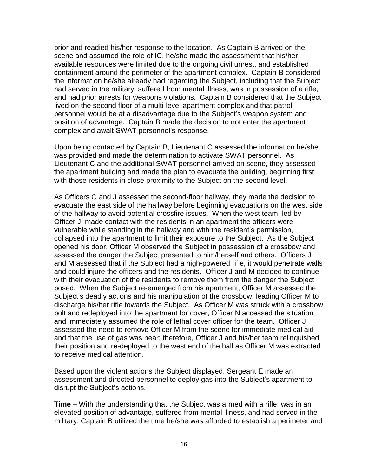prior and readied his/her response to the location. As Captain B arrived on the scene and assumed the role of IC, he/she made the assessment that his/her available resources were limited due to the ongoing civil unrest, and established containment around the perimeter of the apartment complex. Captain B considered the information he/she already had regarding the Subject, including that the Subject had served in the military, suffered from mental illness, was in possession of a rifle, and had prior arrests for weapons violations. Captain B considered that the Subject lived on the second floor of a multi-level apartment complex and that patrol personnel would be at a disadvantage due to the Subject's weapon system and position of advantage. Captain B made the decision to not enter the apartment complex and await SWAT personnel's response.

Upon being contacted by Captain B, Lieutenant C assessed the information he/she was provided and made the determination to activate SWAT personnel. As Lieutenant C and the additional SWAT personnel arrived on scene, they assessed the apartment building and made the plan to evacuate the building, beginning first with those residents in close proximity to the Subject on the second level.

As Officers G and J assessed the second-floor hallway, they made the decision to evacuate the east side of the hallway before beginning evacuations on the west side of the hallway to avoid potential crossfire issues. When the west team, led by Officer J, made contact with the residents in an apartment the officers were vulnerable while standing in the hallway and with the resident's permission, collapsed into the apartment to limit their exposure to the Subject. As the Subject opened his door, Officer M observed the Subject in possession of a crossbow and assessed the danger the Subject presented to him/herself and others. Officers J and M assessed that if the Subject had a high-powered rifle, it would penetrate walls and could injure the officers and the residents. Officer J and M decided to continue with their evacuation of the residents to remove them from the danger the Subject posed. When the Subject re-emerged from his apartment, Officer M assessed the Subject's deadly actions and his manipulation of the crossbow, leading Officer M to discharge his/her rifle towards the Subject. As Officer M was struck with a crossbow bolt and redeployed into the apartment for cover, Officer N accessed the situation and immediately assumed the role of lethal cover officer for the team. Officer J assessed the need to remove Officer M from the scene for immediate medical aid and that the use of gas was near; therefore, Officer J and his/her team relinquished their position and re-deployed to the west end of the hall as Officer M was extracted to receive medical attention.

Based upon the violent actions the Subject displayed, Sergeant E made an assessment and directed personnel to deploy gas into the Subject's apartment to disrupt the Subject's actions.

**Time** – With the understanding that the Subject was armed with a rifle, was in an elevated position of advantage, suffered from mental illness, and had served in the military, Captain B utilized the time he/she was afforded to establish a perimeter and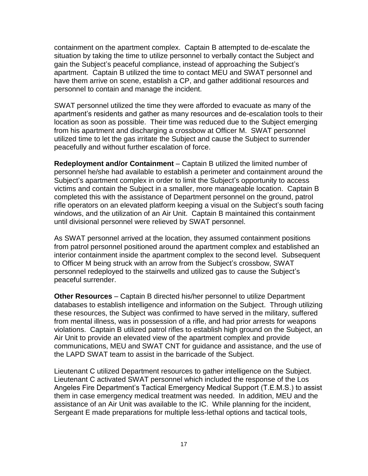containment on the apartment complex. Captain B attempted to de-escalate the situation by taking the time to utilize personnel to verbally contact the Subject and gain the Subject's peaceful compliance, instead of approaching the Subject's apartment. Captain B utilized the time to contact MEU and SWAT personnel and have them arrive on scene, establish a CP, and gather additional resources and personnel to contain and manage the incident.

SWAT personnel utilized the time they were afforded to evacuate as many of the apartment's residents and gather as many resources and de-escalation tools to their location as soon as possible. Their time was reduced due to the Subject emerging from his apartment and discharging a crossbow at Officer M. SWAT personnel utilized time to let the gas irritate the Subject and cause the Subject to surrender peacefully and without further escalation of force.

**Redeployment and/or Containment** – Captain B utilized the limited number of personnel he/she had available to establish a perimeter and containment around the Subject's apartment complex in order to limit the Subject's opportunity to access victims and contain the Subject in a smaller, more manageable location. Captain B completed this with the assistance of Department personnel on the ground, patrol rifle operators on an elevated platform keeping a visual on the Subject's south facing windows, and the utilization of an Air Unit. Captain B maintained this containment until divisional personnel were relieved by SWAT personnel.

As SWAT personnel arrived at the location, they assumed containment positions from patrol personnel positioned around the apartment complex and established an interior containment inside the apartment complex to the second level. Subsequent to Officer M being struck with an arrow from the Subject's crossbow, SWAT personnel redeployed to the stairwells and utilized gas to cause the Subject's peaceful surrender.

**Other Resources** – Captain B directed his/her personnel to utilize Department databases to establish intelligence and information on the Subject. Through utilizing these resources, the Subject was confirmed to have served in the military, suffered from mental illness, was in possession of a rifle, and had prior arrests for weapons violations. Captain B utilized patrol rifles to establish high ground on the Subject, an Air Unit to provide an elevated view of the apartment complex and provide communications, MEU and SWAT CNT for guidance and assistance, and the use of the LAPD SWAT team to assist in the barricade of the Subject.

Lieutenant C utilized Department resources to gather intelligence on the Subject. Lieutenant C activated SWAT personnel which included the response of the Los Angeles Fire Department's Tactical Emergency Medical Support (T.E.M.S.) to assist them in case emergency medical treatment was needed. In addition, MEU and the assistance of an Air Unit was available to the IC. While planning for the incident, Sergeant E made preparations for multiple less-lethal options and tactical tools,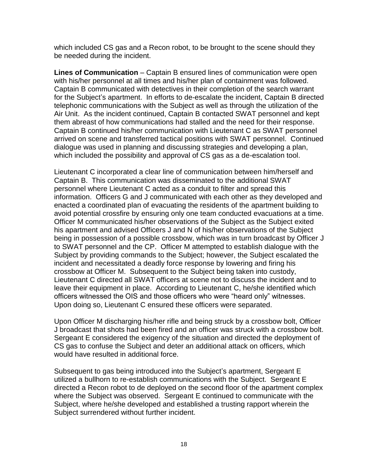which included CS gas and a Recon robot, to be brought to the scene should they be needed during the incident.

**Lines of Communication** – Captain B ensured lines of communication were open with his/her personnel at all times and his/her plan of containment was followed. Captain B communicated with detectives in their completion of the search warrant for the Subject's apartment. In efforts to de-escalate the incident, Captain B directed telephonic communications with the Subject as well as through the utilization of the Air Unit. As the incident continued, Captain B contacted SWAT personnel and kept them abreast of how communications had stalled and the need for their response. Captain B continued his/her communication with Lieutenant C as SWAT personnel arrived on scene and transferred tactical positions with SWAT personnel. Continued dialogue was used in planning and discussing strategies and developing a plan, which included the possibility and approval of CS gas as a de-escalation tool.

Lieutenant C incorporated a clear line of communication between him/herself and Captain B. This communication was disseminated to the additional SWAT personnel where Lieutenant C acted as a conduit to filter and spread this information. Officers G and J communicated with each other as they developed and enacted a coordinated plan of evacuating the residents of the apartment building to avoid potential crossfire by ensuring only one team conducted evacuations at a time. Officer M communicated his/her observations of the Subject as the Subject exited his apartment and advised Officers J and N of his/her observations of the Subject being in possession of a possible crossbow, which was in turn broadcast by Officer J to SWAT personnel and the CP. Officer M attempted to establish dialogue with the Subject by providing commands to the Subject; however, the Subject escalated the incident and necessitated a deadly force response by lowering and firing his crossbow at Officer M. Subsequent to the Subject being taken into custody, Lieutenant C directed all SWAT officers at scene not to discuss the incident and to leave their equipment in place. According to Lieutenant C, he/she identified which officers witnessed the OIS and those officers who were "heard only" witnesses. Upon doing so, Lieutenant C ensured these officers were separated.

Upon Officer M discharging his/her rifle and being struck by a crossbow bolt, Officer J broadcast that shots had been fired and an officer was struck with a crossbow bolt. Sergeant E considered the exigency of the situation and directed the deployment of CS gas to confuse the Subject and deter an additional attack on officers, which would have resulted in additional force.

Subsequent to gas being introduced into the Subject's apartment, Sergeant E utilized a bullhorn to re-establish communications with the Subject. Sergeant E directed a Recon robot to de deployed on the second floor of the apartment complex where the Subject was observed. Sergeant E continued to communicate with the Subject, where he/she developed and established a trusting rapport wherein the Subject surrendered without further incident.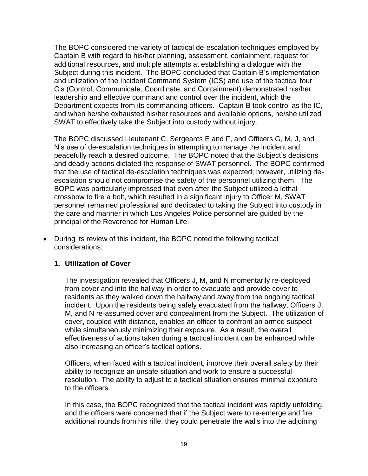The BOPC considered the variety of tactical de-escalation techniques employed by Captain B with regard to his/her planning, assessment, containment, request for additional resources, and multiple attempts at establishing a dialogue with the Subject during this incident. The BOPC concluded that Captain B's implementation and utilization of the Incident Command System (ICS) and use of the tactical four C's (Control, Communicate, Coordinate, and Containment) demonstrated his/her leadership and effective command and control over the incident, which the Department expects from its commanding officers. Captain B took control as the IC, and when he/she exhausted his/her resources and available options, he/she utilized SWAT to effectively take the Subject into custody without injury.

The BOPC discussed Lieutenant C, Sergeants E and F, and Officers G, M, J, and N's use of de-escalation techniques in attempting to manage the incident and peacefully reach a desired outcome. The BOPC noted that the Subject's decisions and deadly actions dictated the response of SWAT personnel. The BOPC confirmed that the use of tactical de-escalation techniques was expected; however, utilizing deescalation should not compromise the safety of the personnel utilizing them. The BOPC was particularly impressed that even after the Subject utilized a lethal crossbow to fire a bolt, which resulted in a significant injury to Officer M, SWAT personnel remained professional and dedicated to taking the Subject into custody in the care and manner in which Los Angeles Police personnel are guided by the principal of the Reverence for Human Life.

• During its review of this incident, the BOPC noted the following tactical considerations:

### **1. Utilization of Cover**

The investigation revealed that Officers J, M, and N momentarily re-deployed from cover and into the hallway in order to evacuate and provide cover to residents as they walked down the hallway and away from the ongoing tactical incident. Upon the residents being safely evacuated from the hallway, Officers J, M, and N re-assumed cover and concealment from the Subject. The utilization of cover, coupled with distance, enables an officer to confront an armed suspect while simultaneously minimizing their exposure.  As a result, the overall effectiveness of actions taken during a tactical incident can be enhanced while also increasing an officer's tactical options.

Officers, when faced with a tactical incident, improve their overall safety by their ability to recognize an unsafe situation and work to ensure a successful resolution.  The ability to adjust to a tactical situation ensures minimal exposure to the officers.  

In this case, the BOPC recognized that the tactical incident was rapidly unfolding, and the officers were concerned that if the Subject were to re-emerge and fire additional rounds from his rifle, they could penetrate the walls into the adjoining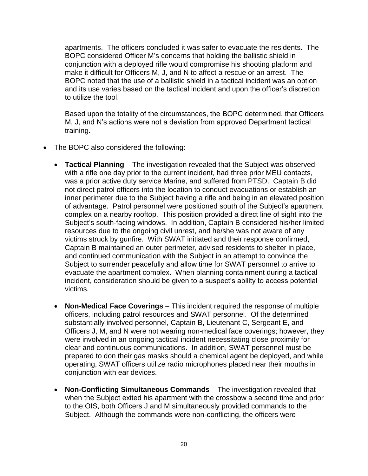apartments. The officers concluded it was safer to evacuate the residents. The BOPC considered Officer M's concerns that holding the ballistic shield in conjunction with a deployed rifle would compromise his shooting platform and make it difficult for Officers M, J, and N to affect a rescue or an arrest. The BOPC noted that the use of a ballistic shield in a tactical incident was an option and its use varies based on the tactical incident and upon the officer's discretion to utilize the tool.

Based upon the totality of the circumstances, the BOPC determined, that Officers M, J, and N's actions were not a deviation from approved Department tactical training.

- The BOPC also considered the following:
	- **Tactical Planning**  The investigation revealed that the Subject was observed with a rifle one day prior to the current incident, had three prior MEU contacts, was a prior active duty service Marine, and suffered from PTSD. Captain B did not direct patrol officers into the location to conduct evacuations or establish an inner perimeter due to the Subject having a rifle and being in an elevated position of advantage. Patrol personnel were positioned south of the Subject's apartment complex on a nearby rooftop. This position provided a direct line of sight into the Subject's south-facing windows. In addition, Captain B considered his/her limited resources due to the ongoing civil unrest, and he/she was not aware of any victims struck by gunfire. With SWAT initiated and their response confirmed, Captain B maintained an outer perimeter, advised residents to shelter in place, and continued communication with the Subject in an attempt to convince the Subject to surrender peacefully and allow time for SWAT personnel to arrive to evacuate the apartment complex. When planning containment during a tactical incident, consideration should be given to a suspect's ability to access potential victims.
	- **Non-Medical Face Coverings**  This incident required the response of multiple officers, including patrol resources and SWAT personnel. Of the determined substantially involved personnel, Captain B, Lieutenant C, Sergeant E, and Officers J, M, and N were not wearing non-medical face coverings; however, they were involved in an ongoing tactical incident necessitating close proximity for clear and continuous communications. In addition, SWAT personnel must be prepared to don their gas masks should a chemical agent be deployed, and while operating, SWAT officers utilize radio microphones placed near their mouths in conjunction with ear devices.
	- **Non-Conflicting Simultaneous Commands**  The investigation revealed that when the Subject exited his apartment with the crossbow a second time and prior to the OIS, both Officers J and M simultaneously provided commands to the Subject. Although the commands were non-conflicting, the officers were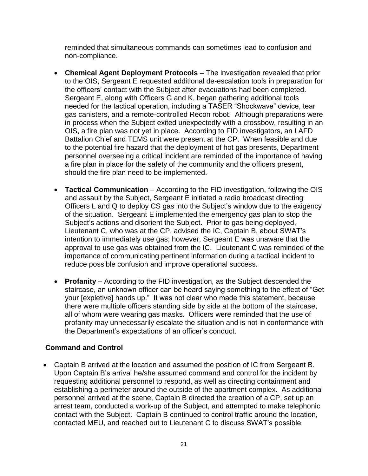reminded that simultaneous commands can sometimes lead to confusion and non-compliance.

- **Chemical Agent Deployment Protocols**  The investigation revealed that prior to the OIS, Sergeant E requested additional de-escalation tools in preparation for the officers' contact with the Subject after evacuations had been completed. Sergeant E, along with Officers G and K, began gathering additional tools needed for the tactical operation, including a TASER "Shockwave" device, tear gas canisters, and a remote-controlled Recon robot. Although preparations were in process when the Subject exited unexpectedly with a crossbow, resulting in an OIS, a fire plan was not yet in place. According to FID investigators, an LAFD Battalion Chief and TEMS unit were present at the CP. When feasible and due to the potential fire hazard that the deployment of hot gas presents, Department personnel overseeing a critical incident are reminded of the importance of having a fire plan in place for the safety of the community and the officers present, should the fire plan need to be implemented.
- **Tactical Communication**  According to the FID investigation, following the OIS and assault by the Subject, Sergeant E initiated a radio broadcast directing Officers L and Q to deploy CS gas into the Subject's window due to the exigency of the situation. Sergeant E implemented the emergency gas plan to stop the Subject's actions and disorient the Subject. Prior to gas being deployed, Lieutenant C, who was at the CP, advised the IC, Captain B, about SWAT's intention to immediately use gas; however, Sergeant E was unaware that the approval to use gas was obtained from the IC. Lieutenant C was reminded of the importance of communicating pertinent information during a tactical incident to reduce possible confusion and improve operational success.
- **Profanity** According to the FID investigation, as the Subject descended the staircase, an unknown officer can be heard saying something to the effect of "Get your [expletive] hands up." It was not clear who made this statement, because there were multiple officers standing side by side at the bottom of the staircase, all of whom were wearing gas masks. Officers were reminded that the use of profanity may unnecessarily escalate the situation and is not in conformance with the Department's expectations of an officer's conduct.

# **Command and Control**

• Captain B arrived at the location and assumed the position of IC from Sergeant B. Upon Captain B's arrival he/she assumed command and control for the incident by requesting additional personnel to respond, as well as directing containment and establishing a perimeter around the outside of the apartment complex. As additional personnel arrived at the scene, Captain B directed the creation of a CP, set up an arrest team, conducted a work-up of the Subject, and attempted to make telephonic contact with the Subject. Captain B continued to control traffic around the location, contacted MEU, and reached out to Lieutenant C to discuss SWAT's possible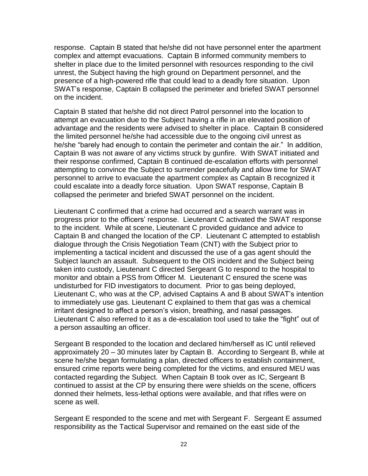response. Captain B stated that he/she did not have personnel enter the apartment complex and attempt evacuations. Captain B informed community members to shelter in place due to the limited personnel with resources responding to the civil unrest, the Subject having the high ground on Department personnel, and the presence of a high-powered rifle that could lead to a deadly fore situation. Upon SWAT's response, Captain B collapsed the perimeter and briefed SWAT personnel on the incident.

Captain B stated that he/she did not direct Patrol personnel into the location to attempt an evacuation due to the Subject having a rifle in an elevated position of advantage and the residents were advised to shelter in place. Captain B considered the limited personnel he/she had accessible due to the ongoing civil unrest as he/she "barely had enough to contain the perimeter and contain the air." In addition, Captain B was not aware of any victims struck by gunfire. With SWAT initiated and their response confirmed, Captain B continued de-escalation efforts with personnel attempting to convince the Subject to surrender peacefully and allow time for SWAT personnel to arrive to evacuate the apartment complex as Captain B recognized it could escalate into a deadly force situation. Upon SWAT response, Captain B collapsed the perimeter and briefed SWAT personnel on the incident.

Lieutenant C confirmed that a crime had occurred and a search warrant was in progress prior to the officers' response. Lieutenant C activated the SWAT response to the incident. While at scene, Lieutenant C provided guidance and advice to Captain B and changed the location of the CP. Lieutenant C attempted to establish dialogue through the Crisis Negotiation Team (CNT) with the Subject prior to implementing a tactical incident and discussed the use of a gas agent should the Subject launch an assault. Subsequent to the OIS incident and the Subject being taken into custody, Lieutenant C directed Sergeant G to respond to the hospital to monitor and obtain a PSS from Officer M. Lieutenant C ensured the scene was undisturbed for FID investigators to document. Prior to gas being deployed, Lieutenant C, who was at the CP, advised Captains A and B about SWAT's intention to immediately use gas. Lieutenant C explained to them that gas was a chemical irritant designed to affect a person's vision, breathing, and nasal passages. Lieutenant C also referred to it as a de-escalation tool used to take the "fight" out of a person assaulting an officer.

Sergeant B responded to the location and declared him/herself as IC until relieved approximately 20 – 30 minutes later by Captain B. According to Sergeant B, while at scene he/she began formulating a plan, directed officers to establish containment, ensured crime reports were being completed for the victims, and ensured MEU was contacted regarding the Subject. When Captain B took over as IC, Sergeant B continued to assist at the CP by ensuring there were shields on the scene, officers donned their helmets, less-lethal options were available, and that rifles were on scene as well.

Sergeant E responded to the scene and met with Sergeant F. Sergeant E assumed responsibility as the Tactical Supervisor and remained on the east side of the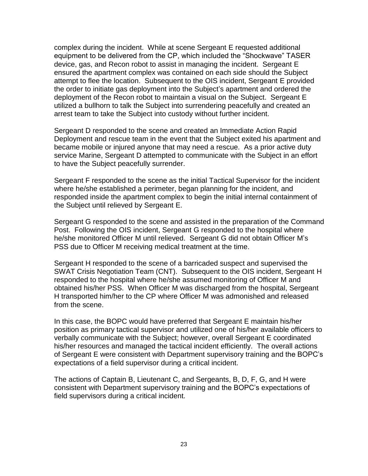complex during the incident. While at scene Sergeant E requested additional equipment to be delivered from the CP, which included the "Shockwave" TASER device, gas, and Recon robot to assist in managing the incident. Sergeant E ensured the apartment complex was contained on each side should the Subject attempt to flee the location. Subsequent to the OIS incident, Sergeant E provided the order to initiate gas deployment into the Subject's apartment and ordered the deployment of the Recon robot to maintain a visual on the Subject. Sergeant E utilized a bullhorn to talk the Subject into surrendering peacefully and created an arrest team to take the Subject into custody without further incident.

Sergeant D responded to the scene and created an Immediate Action Rapid Deployment and rescue team in the event that the Subject exited his apartment and became mobile or injured anyone that may need a rescue. As a prior active duty service Marine, Sergeant D attempted to communicate with the Subject in an effort to have the Subject peacefully surrender.

Sergeant F responded to the scene as the initial Tactical Supervisor for the incident where he/she established a perimeter, began planning for the incident, and responded inside the apartment complex to begin the initial internal containment of the Subject until relieved by Sergeant E.

Sergeant G responded to the scene and assisted in the preparation of the Command Post. Following the OIS incident, Sergeant G responded to the hospital where he/she monitored Officer M until relieved. Sergeant G did not obtain Officer M's PSS due to Officer M receiving medical treatment at the time.

Sergeant H responded to the scene of a barricaded suspect and supervised the SWAT Crisis Negotiation Team (CNT). Subsequent to the OIS incident, Sergeant H responded to the hospital where he/she assumed monitoring of Officer M and obtained his/her PSS. When Officer M was discharged from the hospital, Sergeant H transported him/her to the CP where Officer M was admonished and released from the scene.

In this case, the BOPC would have preferred that Sergeant E maintain his/her position as primary tactical supervisor and utilized one of his/her available officers to verbally communicate with the Subject; however, overall Sergeant E coordinated his/her resources and managed the tactical incident efficiently. The overall actions of Sergeant E were consistent with Department supervisory training and the BOPC's expectations of a field supervisor during a critical incident.

The actions of Captain B, Lieutenant C, and Sergeants, B, D, F, G, and H were consistent with Department supervisory training and the BOPC's expectations of field supervisors during a critical incident.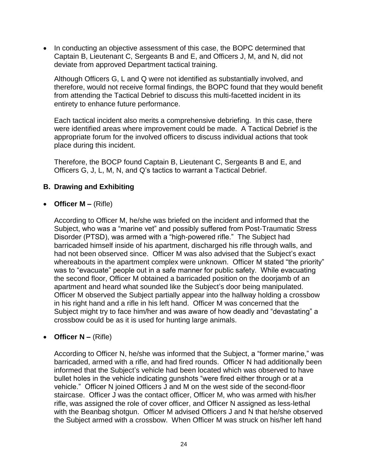• In conducting an objective assessment of this case, the BOPC determined that Captain B, Lieutenant C, Sergeants B and E, and Officers J, M, and N, did not deviate from approved Department tactical training.

Although Officers G, L and Q were not identified as substantially involved, and therefore, would not receive formal findings, the BOPC found that they would benefit from attending the Tactical Debrief to discuss this multi-facetted incident in its entirety to enhance future performance.

Each tactical incident also merits a comprehensive debriefing. In this case, there were identified areas where improvement could be made. A Tactical Debrief is the appropriate forum for the involved officers to discuss individual actions that took place during this incident.

Therefore, the BOCP found Captain B, Lieutenant C, Sergeants B and E, and Officers G, J, L, M, N, and Q's tactics to warrant a Tactical Debrief.

# **B. Drawing and Exhibiting**

### • **Officer M –** (Rifle)

According to Officer M, he/she was briefed on the incident and informed that the Subject, who was a "marine vet" and possibly suffered from Post-Traumatic Stress Disorder (PTSD), was armed with a "high-powered rifle." The Subject had barricaded himself inside of his apartment, discharged his rifle through walls, and had not been observed since. Officer M was also advised that the Subject's exact whereabouts in the apartment complex were unknown. Officer M stated "the priority" was to "evacuate" people out in a safe manner for public safety. While evacuating the second floor, Officer M obtained a barricaded position on the doorjamb of an apartment and heard what sounded like the Subject's door being manipulated. Officer M observed the Subject partially appear into the hallway holding a crossbow in his right hand and a rifle in his left hand. Officer M was concerned that the Subject might try to face him/her and was aware of how deadly and "devastating" a crossbow could be as it is used for hunting large animals.

# • **Officer N –** (Rifle)

According to Officer N, he/she was informed that the Subject, a "former marine," was barricaded, armed with a rifle, and had fired rounds. Officer N had additionally been informed that the Subject's vehicle had been located which was observed to have bullet holes in the vehicle indicating gunshots "were fired either through or at a vehicle." Officer N joined Officers J and M on the west side of the second-floor staircase. Officer J was the contact officer, Officer M, who was armed with his/her rifle, was assigned the role of cover officer, and Officer N assigned as less-lethal with the Beanbag shotgun. Officer M advised Officers J and N that he/she observed the Subject armed with a crossbow. When Officer M was struck on his/her left hand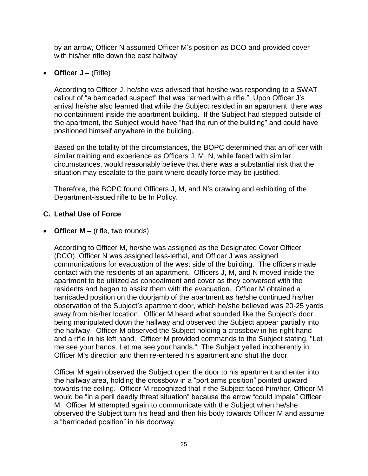by an arrow, Officer N assumed Officer M's position as DCO and provided cover with his/her rifle down the east hallway.

### • **Officer J –** (Rifle)

According to Officer J, he/she was advised that he/she was responding to a SWAT callout of "a barricaded suspect" that was "armed with a rifle." Upon Officer J's arrival he/she also learned that while the Subject resided in an apartment, there was no containment inside the apartment building. If the Subject had stepped outside of the apartment, the Subject would have "had the run of the building" and could have positioned himself anywhere in the building.

Based on the totality of the circumstances, the BOPC determined that an officer with similar training and experience as Officers J, M, N, while faced with similar circumstances, would reasonably believe that there was a substantial risk that the situation may escalate to the point where deadly force may be justified.

Therefore, the BOPC found Officers J, M, and N's drawing and exhibiting of the Department-issued rifle to be In Policy.

### **C. Lethal Use of Force**

### • **Officer M –** (rifle, two rounds)

According to Officer M, he/she was assigned as the Designated Cover Officer (DCO), Officer N was assigned less-lethal, and Officer J was assigned communications for evacuation of the west side of the building. The officers made contact with the residents of an apartment. Officers J, M, and N moved inside the apartment to be utilized as concealment and cover as they conversed with the residents and began to assist them with the evacuation. Officer M obtained a barricaded position on the doorjamb of the apartment as he/she continued his/her observation of the Subject's apartment door, which he/she believed was 20-25 yards away from his/her location. Officer M heard what sounded like the Subject's door being manipulated down the hallway and observed the Subject appear partially into the hallway. Officer M observed the Subject holding a crossbow in his right hand and a rifle in his left hand. Officer M provided commands to the Subject stating, "Let me see your hands. Let me see your hands." The Subject yelled incoherently in Officer M's direction and then re-entered his apartment and shut the door.

Officer M again observed the Subject open the door to his apartment and enter into the hallway area, holding the crossbow in a "port arms position" pointed upward towards the ceiling. Officer M recognized that if the Subject faced him/her, Officer M would be "in a peril deadly threat situation" because the arrow "could impale" Officer M. Officer M attempted again to communicate with the Subject when he/she observed the Subject turn his head and then his body towards Officer M and assume a "barricaded position" in his doorway.